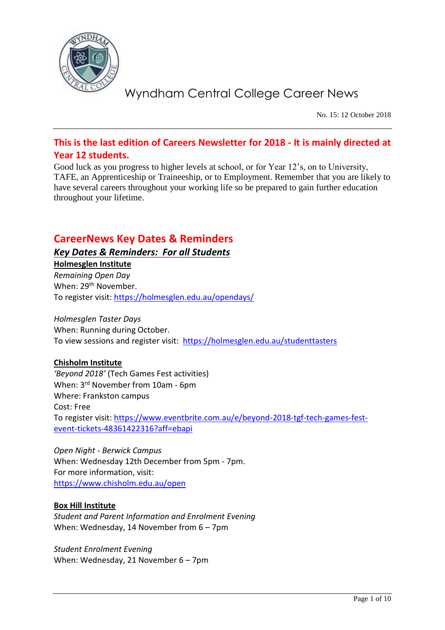

No. 15: 12 October 2018

### **This is the last edition of Careers Newsletter for 2018 - It is mainly directed at Year 12 students.**

Good luck as you progress to higher levels at school, or for Year 12's, on to University, TAFE, an Apprenticeship or Traineeship, or to Employment. Remember that you are likely to have several careers throughout your working life so be prepared to gain further education throughout your lifetime.

### **CareerNews Key Dates & Reminders**

### *Key Dates & Reminders: For all Students*

**Holmesglen Institute** *Remaining Open Day* When: 29<sup>th</sup> November. To register visit:<https://holmesglen.edu.au/opendays/>

*Holmesglen Taster Days* When: Running during October. To view sessions and register visit: <https://holmesglen.edu.au/studenttasters>

### **Chisholm Institute**

*'Beyond 2018'* (Tech Games Fest activities) When: 3rd November from 10am - 6pm Where: Frankston campus Cost: Free To register visit: [https://www.eventbrite.com.au/e/beyond-2018-tgf-tech-games-fest](https://www.eventbrite.com.au/e/beyond-2018-tgf-tech-games-fest-event-tickets-48361422316?aff=ebapi)[event-tickets-48361422316?aff=ebapi](https://www.eventbrite.com.au/e/beyond-2018-tgf-tech-games-fest-event-tickets-48361422316?aff=ebapi)

*Open Night - Berwick Campus* When: Wednesday 12th December from 5pm - 7pm. For more information, visit: <https://www.chisholm.edu.au/open>

### **Box Hill Institute**

*Student and Parent Information and Enrolment Evening* When: Wednesday, 14 November from 6 – 7pm

*Student Enrolment Evening* When: Wednesday, 21 November 6 – 7pm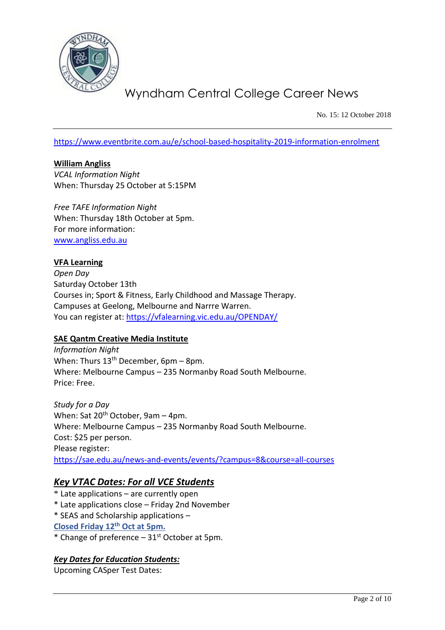

No. 15: 12 October 2018

<https://www.eventbrite.com.au/e/school-based-hospitality-2019-information-enrolment>

**William Angliss** *VCAL Information Night* When: Thursday 25 October at 5:15PM

*Free TAFE Information Night* When: Thursday 18th October at 5pm. For more information: [www.angliss.edu.au](http://www.angliss.edu.au/)

#### **VFA Learning**

*Open Day* Saturday October 13th Courses in; Sport & Fitness, Early Childhood and Massage Therapy. Campuses at Geelong, Melbourne and Narrre Warren. You can register at:<https://vfalearning.vic.edu.au/OPENDAY/>

#### **SAE Qantm Creative Media Institute**

*Information Night* When: Thurs  $13<sup>th</sup>$  December, 6pm – 8pm. Where: Melbourne Campus – 235 Normanby Road South Melbourne. Price: Free.

*Study for a Day*  When: Sat  $20^{th}$  October, 9am – 4pm. Where: Melbourne Campus – 235 Normanby Road South Melbourne. Cost: \$25 per person. Please register: <https://sae.edu.au/news-and-events/events/?campus=8&course=all-courses>

### *Key VTAC Dates: For all VCE Students*

- $*$  Late applications  $-$  are currently open
- \* Late applications close Friday 2nd November
- \* SEAS and Scholarship applications –
- **Closed Friday 12th Oct at 5pm.**
- \* Change of preference  $-31<sup>st</sup>$  October at 5pm.

#### *Key Dates for Education Students:*

Upcoming CASper Test Dates: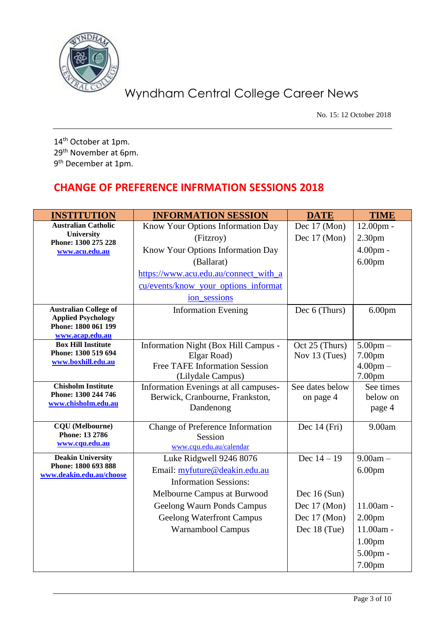

No. 15: 12 October 2018

14<sup>th</sup> October at 1pm. 29th November at 6pm. 9<sup>th</sup> December at 1pm.

### **CHANGE OF PREFERENCE INFRMATION SESSIONS 2018**

| <b>INSTITUTION</b>                               | <b>INFORMATION SESSION</b>            | <b>DATE</b>     | <b>TIME</b>        |
|--------------------------------------------------|---------------------------------------|-----------------|--------------------|
| <b>Australian Catholic</b>                       | Know Your Options Information Day     | Dec 17 (Mon)    | $12.00pm$ -        |
| <b>University</b><br>Phone: 1300 275 228         | (Fitzroy)                             | Dec 17 (Mon)    | 2.30 <sub>pm</sub> |
| www.acu.edu.au                                   | Know Your Options Information Day     |                 | $4.00pm$ -         |
|                                                  | (Ballarat)                            |                 | 6.00 <sub>pm</sub> |
|                                                  | https://www.acu.edu.au/connect_with_a |                 |                    |
|                                                  | cu/events/know_your_options_informat  |                 |                    |
|                                                  | ion_sessions                          |                 |                    |
| <b>Australian College of</b>                     | <b>Information Evening</b>            | Dec 6 (Thurs)   | 6.00 <sub>pm</sub> |
| <b>Applied Psychology</b><br>Phone: 1800 061 199 |                                       |                 |                    |
| www.acap.edu.au                                  |                                       |                 |                    |
| <b>Box Hill Institute</b>                        | Information Night (Box Hill Campus -  | Oct 25 (Thurs)  | $5.00$ pm $-$      |
| Phone: 1300 519 694<br>www.boxhill.edu.au        | Elgar Road)                           | Nov 13 (Tues)   | 7.00pm             |
|                                                  | <b>Free TAFE Information Session</b>  |                 | $4.00 \text{pm} -$ |
|                                                  | (Lilydale Campus)                     |                 | 7.00pm             |
| <b>Chisholm Institute</b><br>Phone: 1300 244 746 | Information Evenings at all campuses- | See dates below | See times          |
| www.chisholm.edu.au                              | Berwick, Cranbourne, Frankston,       | on page 4       | below on           |
|                                                  | Dandenong                             |                 | page 4             |
| <b>CQU</b> (Melbourne)                           | Change of Preference Information      | Dec $14$ (Fri)  | 9.00am             |
| Phone: 13 2786                                   | Session                               |                 |                    |
| www.cqu.edu.au                                   | www.cqu.edu.au/calendar               |                 |                    |
| <b>Deakin University</b><br>Phone: 1800 693 888  | Luke Ridgwell 9246 8076               | Dec $14 - 19$   | $9.00am -$         |
| www.deakin.edu.au/choose                         | Email: myfuture@deakin.edu.au         |                 | 6.00 <sub>pm</sub> |
|                                                  | <b>Information Sessions:</b>          |                 |                    |
|                                                  | Melbourne Campus at Burwood           | Dec $16$ (Sun)  |                    |
|                                                  | Geelong Waurn Ponds Campus            | Dec 17 (Mon)    | 11.00am -          |
|                                                  | <b>Geelong Waterfront Campus</b>      | Dec 17 (Mon)    | 2.00 <sub>pm</sub> |
|                                                  | Warnambool Campus                     | Dec 18 (Tue)    | 11.00am -          |
|                                                  |                                       |                 | 1.00 <sub>pm</sub> |
|                                                  |                                       |                 | $5.00$ pm -        |
|                                                  |                                       |                 | 7.00 <sub>pm</sub> |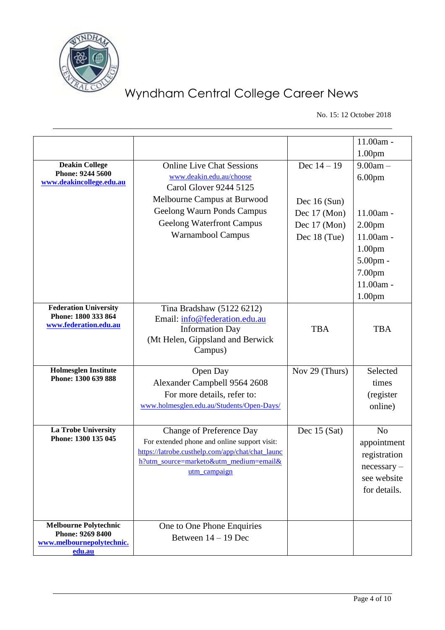

No. 15: 12 October 2018

|                                              |                                                        |                | 11.00am -          |
|----------------------------------------------|--------------------------------------------------------|----------------|--------------------|
|                                              |                                                        |                | 1.00 <sub>pm</sub> |
| <b>Deakin College</b>                        | <b>Online Live Chat Sessions</b>                       | Dec $14 - 19$  | $9.00am -$         |
| Phone: 9244 5600                             | www.deakin.edu.au/choose                               |                | 6.00 <sub>pm</sub> |
| www.deakincollege.edu.au                     | <b>Carol Glover 9244 5125</b>                          |                |                    |
|                                              | Melbourne Campus at Burwood                            | Dec $16$ (Sun) |                    |
|                                              | Geelong Waurn Ponds Campus                             | Dec 17 (Mon)   | 11.00am -          |
|                                              | <b>Geelong Waterfront Campus</b>                       | Dec 17 (Mon)   | 2.00 <sub>pm</sub> |
|                                              | Warnambool Campus                                      | Dec 18 (Tue)   | 11.00am -          |
|                                              |                                                        |                |                    |
|                                              |                                                        |                | 1.00 <sub>pm</sub> |
|                                              |                                                        |                | $5.00pm$ -         |
|                                              |                                                        |                | 7.00pm             |
|                                              |                                                        |                | 11.00am -          |
|                                              |                                                        |                | 1.00 <sub>pm</sub> |
| <b>Federation University</b>                 | Tina Bradshaw (5122 6212)                              |                |                    |
| Phone: 1800 333 864<br>www.federation.edu.au | Email: info@federation.edu.au                          |                |                    |
|                                              | <b>Information Day</b>                                 | <b>TBA</b>     | <b>TBA</b>         |
|                                              | (Mt Helen, Gippsland and Berwick                       |                |                    |
|                                              | Campus)                                                |                |                    |
| <b>Holmesglen Institute</b>                  | Open Day                                               | Nov 29 (Thurs) | Selected           |
| Phone: 1300 639 888                          |                                                        |                |                    |
|                                              | Alexander Campbell 9564 2608                           |                | times              |
|                                              | For more details, refer to:                            |                | (register          |
|                                              | www.holmesglen.edu.au/Students/Open-Days/              |                | online)            |
|                                              |                                                        |                |                    |
| La Trobe University<br>Phone: 1300 135 045   | <b>Change of Preference Day</b>                        | Dec $15$ (Sat) | N <sub>o</sub>     |
|                                              | For extended phone and online support visit:           |                | appointment        |
|                                              | https://latrobe.custhelp.com/app/chat/chat_launc       |                | registration       |
|                                              | h?utm_source=marketo&utm_medium=email&<br>utm_campaign |                | necessary          |
|                                              |                                                        |                | see website        |
|                                              |                                                        |                | for details.       |
|                                              |                                                        |                |                    |
|                                              |                                                        |                |                    |
| <b>Melbourne Polytechnic</b>                 | One to One Phone Enquiries                             |                |                    |
| Phone: 9269 8400                             | Between $14 - 19$ Dec                                  |                |                    |
| www.melbournepolytechnic.<br>edu.au          |                                                        |                |                    |
|                                              |                                                        |                |                    |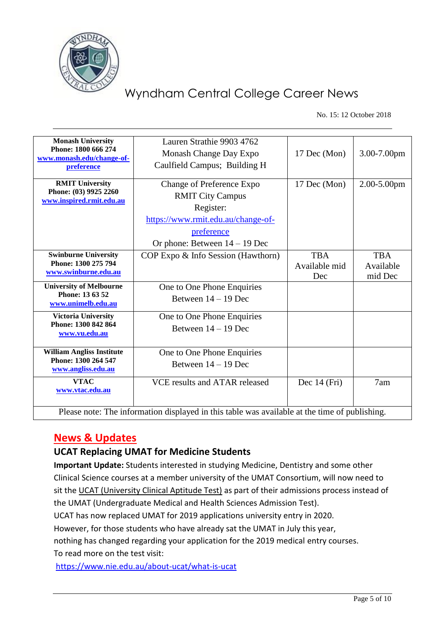

No. 15: 12 October 2018

| <b>Monash University</b><br>Phone: 1800 666 274<br>www.monash.edu/change-of-<br>preference    | Lauren Strathie 9903 4762<br>Monash Change Day Expo<br>Caulfield Campus; Building H                                                                      | 17 Dec (Mon)                       | 3.00-7.00pm                        |
|-----------------------------------------------------------------------------------------------|----------------------------------------------------------------------------------------------------------------------------------------------------------|------------------------------------|------------------------------------|
| <b>RMIT University</b><br>Phone: (03) 9925 2260<br>www.inspired.rmit.edu.au                   | Change of Preference Expo<br><b>RMIT City Campus</b><br>Register:<br>https://www.rmit.edu.au/change-of-<br>preference<br>Or phone: Between $14 - 19$ Dec | 17 Dec (Mon)                       | 2.00-5.00pm                        |
| <b>Swinburne University</b><br>Phone: 1300 275 794<br>www.swinburne.edu.au                    | COP Expo & Info Session (Hawthorn)                                                                                                                       | <b>TBA</b><br>Available mid<br>Dec | <b>TBA</b><br>Available<br>mid Dec |
| <b>University of Melbourne</b><br>Phone: 13 63 52<br>www.unimelb.edu.au                       | One to One Phone Enquiries<br>Between $14 - 19$ Dec                                                                                                      |                                    |                                    |
| <b>Victoria University</b><br>Phone: 1300 842 864<br>www.vu.edu.au                            | One to One Phone Enquiries<br>Between $14 - 19$ Dec                                                                                                      |                                    |                                    |
| <b>William Angliss Institute</b><br>Phone: 1300 264 547<br>www.angliss.edu.au                 | One to One Phone Enquiries<br>Between $14 - 19$ Dec                                                                                                      |                                    |                                    |
| <b>VTAC</b><br>www.vtac.edu.au                                                                | VCE results and ATAR released                                                                                                                            | Dec $14$ (Fri)                     | 7am                                |
| Please note: The information displayed in this table was available at the time of publishing. |                                                                                                                                                          |                                    |                                    |

### **News & Updates**

### **UCAT Replacing UMAT for Medicine Students**

**Important Update:** Students interested in studying Medicine, Dentistry and some other Clinical Science courses at a member university of the UMAT Consortium, will now need to sit the UCAT (University Clinical Aptitude Test) as part of their admissions process instead of the UMAT (Undergraduate Medical and Health Sciences Admission Test).

UCAT has now replaced UMAT for 2019 applications university entry in 2020.

However, for those students who have already sat the UMAT in July this year,

nothing has changed regarding your application for the 2019 medical entry courses. To read more on the test visit:

<https://www.nie.edu.au/about-ucat/what-is-ucat>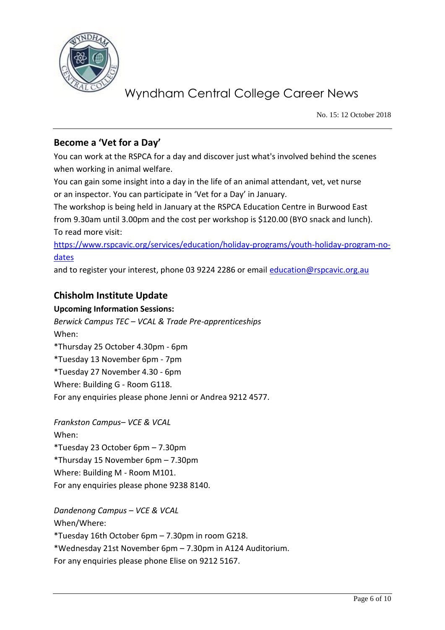

No. 15: 12 October 2018

### **Become a 'Vet for a Day'**

You can work at the RSPCA for a day and discover just what's involved behind the scenes when working in animal welfare.

You can gain some insight into a day in the life of an animal attendant, vet, vet nurse or an inspector. You can participate in 'Vet for a Day' in January.

The workshop is being held in January at the RSPCA Education Centre in Burwood East from 9.30am until 3.00pm and the cost per workshop is \$120.00 (BYO snack and lunch). To read more visit:

[https://www.rspcavic.org/services/education/holiday-programs/youth-holiday-program-no](https://www.rspcavic.org/services/education/holiday-programs/youth-holiday-program-no-dates)[dates](https://www.rspcavic.org/services/education/holiday-programs/youth-holiday-program-no-dates)

and to register your interest, phone 03 9224 2286 or email [education@rspcavic.org.au](mailto:education@rspcavic.org.au)

### **Chisholm Institute Update**

### **Upcoming Information Sessions:**

*Berwick Campus TEC – VCAL & Trade Pre-apprenticeships* When: \*Thursday 25 October 4.30pm - 6pm \*Tuesday 13 November 6pm - 7pm \*Tuesday 27 November 4.30 - 6pm Where: Building G - Room G118. For any enquiries please phone Jenni or Andrea 9212 4577.

*Frankston Campus– VCE & VCAL* When: \*Tuesday 23 October 6pm – 7.30pm \*Thursday 15 November 6pm – 7.30pm Where: Building M - Room M101. For any enquiries please phone 9238 8140.

*Dandenong Campus – VCE & VCAL* When/Where: \*Tuesday 16th October 6pm – 7.30pm in room G218. \*Wednesday 21st November 6pm – 7.30pm in A124 Auditorium. For any enquiries please phone Elise on 9212 5167.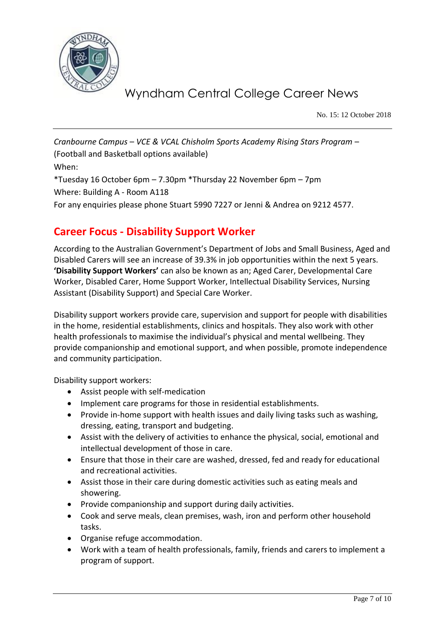

No. 15: 12 October 2018

*Cranbourne Campus – VCE & VCAL Chisholm Sports Academy Rising Stars Program* – (Football and Basketball options available) When: \*Tuesday 16 October 6pm – 7.30pm \*Thursday 22 November 6pm – 7pm Where: Building A - Room A118 For any enquiries please phone Stuart 5990 7227 or Jenni & Andrea on 9212 4577.

### **Career Focus - Disability Support Worker**

According to the Australian Government's Department of Jobs and Small Business, Aged and Disabled Carers will see an increase of 39.3% in job opportunities within the next 5 years. **'Disability Support Workers'** can also be known as an; Aged Carer, Developmental Care Worker, Disabled Carer, Home Support Worker, Intellectual Disability Services, Nursing Assistant (Disability Support) and Special Care Worker.

Disability support workers provide care, supervision and support for people with disabilities in the home, residential establishments, clinics and hospitals. They also work with other health professionals to maximise the individual's physical and mental wellbeing. They provide companionship and emotional support, and when possible, promote independence and community participation.

Disability support workers:

- Assist people with self-medication
- Implement care programs for those in residential establishments.
- Provide in-home support with health issues and daily living tasks such as washing, dressing, eating, transport and budgeting.
- Assist with the delivery of activities to enhance the physical, social, emotional and intellectual development of those in care.
- Ensure that those in their care are washed, dressed, fed and ready for educational and recreational activities.
- Assist those in their care during domestic activities such as eating meals and showering.
- Provide companionship and support during daily activities.
- Cook and serve meals, clean premises, wash, iron and perform other household tasks.
- Organise refuge accommodation.
- Work with a team of health professionals, family, friends and carers to implement a program of support.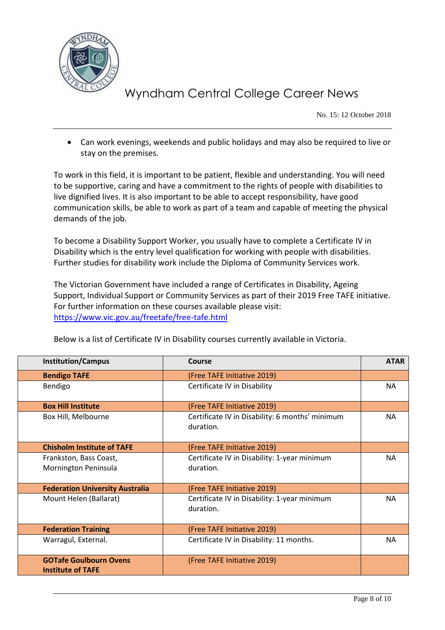

No. 15: 12 October 2018

 Can work evenings, weekends and public holidays and may also be required to live or stay on the premises.

To work in this field, it is important to be patient, flexible and understanding. You will need to be supportive, caring and have a commitment to the rights of people with disabilities to live dignified lives. It is also important to be able to accept responsibility, have good communication skills, be able to work as part of a team and capable of meeting the physical demands of the job.

To become a Disability Support Worker, you usually have to complete a Certificate IV in Disability which is the entry level qualification for working with people with disabilities. Further studies for disability work include the Diploma of Community Services work.

The Victorian Government have included a range of Certificates in Disability, Ageing Support, Individual Support or Community Services as part of their 2019 Free TAFE initiative. For further information on these courses available please visit: <https://www.vic.gov.au/freetafe/free-tafe.html>

| <b>Institution/Campus</b>                                 | Course                                                       | <b>ATAR</b> |
|-----------------------------------------------------------|--------------------------------------------------------------|-------------|
| <b>Bendigo TAFE</b>                                       | (Free TAFE Initiative 2019)                                  |             |
| Bendigo                                                   | Certificate IV in Disability                                 | NA.         |
| <b>Box Hill Institute</b>                                 | (Free TAFE Initiative 2019)                                  |             |
| Box Hill, Melbourne                                       | Certificate IV in Disability: 6 months' minimum<br>duration. | <b>NA</b>   |
| <b>Chisholm Institute of TAFE</b>                         | (Free TAFE Initiative 2019)                                  |             |
| Frankston, Bass Coast,<br>Mornington Peninsula            | Certificate IV in Disability: 1-year minimum<br>duration.    | <b>NA</b>   |
| <b>Federation University Australia</b>                    | (Free TAFE Initiative 2019)                                  |             |
| Mount Helen (Ballarat)                                    | Certificate IV in Disability: 1-year minimum<br>duration.    | <b>NA</b>   |
| <b>Federation Training</b>                                | (Free TAFE Initiative 2019)                                  |             |
| Warragul, External.                                       | Certificate IV in Disability: 11 months.                     | <b>NA</b>   |
| <b>GOTafe Goulbourn Ovens</b><br><b>Institute of TAFE</b> | (Free TAFE Initiative 2019)                                  |             |

Below is a list of Certificate IV in Disability courses currently available in Victoria.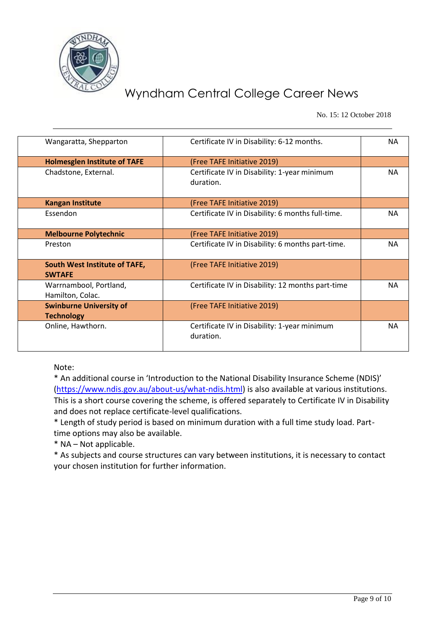

No. 15: 12 October 2018

| Wangaratta, Shepparton                         | Certificate IV in Disability: 6-12 months.                | <b>NA</b> |
|------------------------------------------------|-----------------------------------------------------------|-----------|
| <b>Holmesglen Institute of TAFE</b>            | (Free TAFE Initiative 2019)                               |           |
| Chadstone, External.                           | Certificate IV in Disability: 1-year minimum<br>duration. | NA.       |
| <b>Kangan Institute</b>                        | (Free TAFE Initiative 2019)                               |           |
| Essendon                                       | Certificate IV in Disability: 6 months full-time.         | <b>NA</b> |
| <b>Melbourne Polytechnic</b>                   | (Free TAFE Initiative 2019)                               |           |
| Preston                                        | Certificate IV in Disability: 6 months part-time.         | NA.       |
| South West Institute of TAFE,<br><b>SWTAFE</b> | (Free TAFE Initiative 2019)                               |           |
| Warrnambool, Portland,<br>Hamilton, Colac.     | Certificate IV in Disability: 12 months part-time         | NA.       |
| <b>Swinburne University of</b>                 | (Free TAFE Initiative 2019)                               |           |
| <b>Technology</b>                              |                                                           |           |
| Online, Hawthorn.                              | Certificate IV in Disability: 1-year minimum<br>duration. | <b>NA</b> |

Note:

\* An additional course in 'Introduction to the National Disability Insurance Scheme (NDIS)' [\(https://www.ndis.gov.au/about-us/what-ndis.html\)](https://www.ndis.gov.au/about-us/what-ndis.html) is also available at various institutions. This is a short course covering the scheme, is offered separately to Certificate IV in Disability and does not replace certificate-level qualifications.

\* Length of study period is based on minimum duration with a full time study load. Parttime options may also be available.

\* NA – Not applicable.

\* As subjects and course structures can vary between institutions, it is necessary to contact your chosen institution for further information.